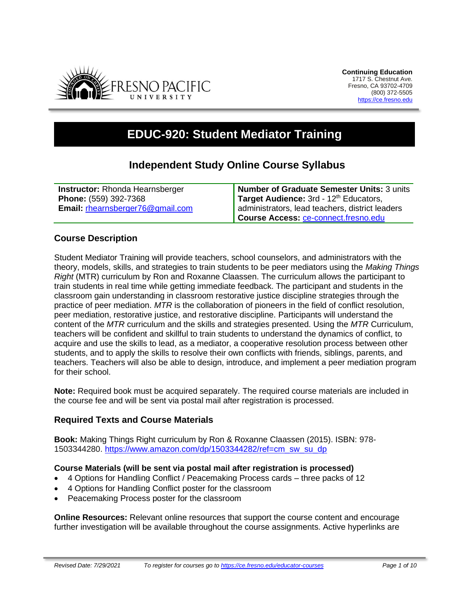

# **EDUC-920: Student Mediator Training**

## **Independent Study Online Course Syllabus**

| <b>Instructor:</b> Rhonda Hearnsberger | Number of Graduate Semester Units: 3 units         |
|----------------------------------------|----------------------------------------------------|
| <b>Phone: (559) 392-7368</b>           | Target Audience: 3rd - 12 <sup>th</sup> Educators, |
| Email: rhearnsberger76@gmail.com       | administrators, lead teachers, district leaders    |
|                                        | Course Access: ce-connect.fresno.edu               |

## **Course Description**

Student Mediator Training will provide teachers, school counselors, and administrators with the theory, models, skills, and strategies to train students to be peer mediators using the *Making Things Right* (MTR) curriculum by Ron and Roxanne Claassen. The curriculum allows the participant to train students in real time while getting immediate feedback. The participant and students in the classroom gain understanding in classroom restorative justice discipline strategies through the practice of peer mediation. *MTR* is the collaboration of pioneers in the field of conflict resolution, peer mediation, restorative justice, and restorative discipline. Participants will understand the content of the *MTR* curriculum and the skills and strategies presented. Using the *MTR* Curriculum, teachers will be confident and skillful to train students to understand the dynamics of conflict, to acquire and use the skills to lead, as a mediator, a cooperative resolution process between other students, and to apply the skills to resolve their own conflicts with friends, siblings, parents, and teachers. Teachers will also be able to design, introduce, and implement a peer mediation program for their school.

**Note:** Required book must be acquired separately. The required course materials are included in the course fee and will be sent via postal mail after registration is processed.

## **Required Texts and Course Materials**

**Book:** Making Things Right curriculum by Ron & Roxanne Claassen (2015). ISBN: 978- 1503344280. [https://www.amazon.com/dp/1503344282/ref=cm\\_sw\\_su\\_dp](https://www.amazon.com/dp/1503344282/ref=cm_sw_su_dp)

#### **Course Materials (will be sent via postal mail after registration is processed)**

- 4 Options for Handling Conflict / Peacemaking Process cards three packs of 12
- 4 Options for Handling Conflict poster for the classroom
- Peacemaking Process poster for the classroom

**Online Resources:** Relevant online resources that support the course content and encourage further investigation will be available throughout the course assignments. Active hyperlinks are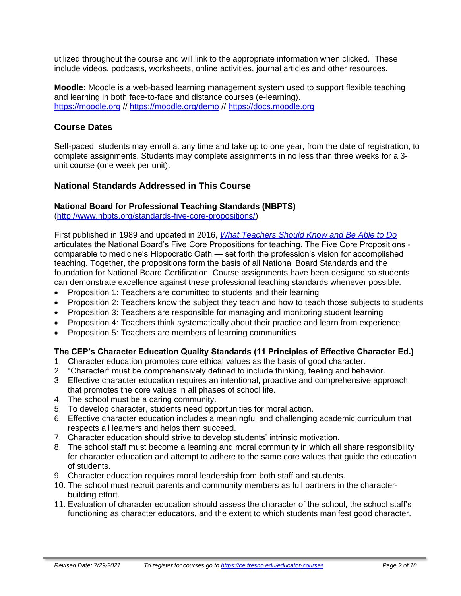utilized throughout the course and will link to the appropriate information when clicked. These include videos, podcasts, worksheets, online activities, journal articles and other resources.

**Moodle:** Moodle is a web-based learning management system used to support flexible teaching and learning in both face-to-face and distance courses (e-learning). [https://moodle.org](https://moodle.org/) // <https://moodle.org/demo> // [https://docs.moodle.org](https://docs.moodle.org/)

## **Course Dates**

Self-paced; students may enroll at any time and take up to one year, from the date of registration, to complete assignments. Students may complete assignments in no less than three weeks for a 3 unit course (one week per unit).

## **National Standards Addressed in This Course**

#### **National Board for Professional Teaching Standards (NBPTS)**

[\(http://www.nbpts.org/standards-five-core-propositions/\)](http://www.nbpts.org/standards-five-core-propositions/)

First published in 1989 and updated in 2016, *[What Teachers Should Know and Be Able to Do](http://www.accomplishedteacher.org/)* articulates the National Board's Five Core Propositions for teaching. The Five Core Propositions comparable to medicine's Hippocratic Oath — set forth the profession's vision for accomplished teaching. Together, the propositions form the basis of all National Board Standards and the foundation for National Board Certification. Course assignments have been designed so students can demonstrate excellence against these professional teaching standards whenever possible.

- Proposition 1: Teachers are committed to students and their learning
- Proposition 2: Teachers know the subject they teach and how to teach those subjects to students
- Proposition 3: Teachers are responsible for managing and monitoring student learning
- Proposition 4: Teachers think systematically about their practice and learn from experience
- Proposition 5: Teachers are members of learning communities

## **The CEP's Character Education Quality Standards (11 Principles of Effective Character Ed.)**

- 1. Character education promotes core ethical values as the basis of good character.
- 2. "Character" must be comprehensively defined to include thinking, feeling and behavior.
- 3. Effective character education requires an intentional, proactive and comprehensive approach that promotes the core values in all phases of school life.
- 4. The school must be a caring community.
- 5. To develop character, students need opportunities for moral action.
- 6. Effective character education includes a meaningful and challenging academic curriculum that respects all learners and helps them succeed.
- 7. Character education should strive to develop students' intrinsic motivation.
- 8. The school staff must become a learning and moral community in which all share responsibility for character education and attempt to adhere to the same core values that guide the education of students.
- 9. Character education requires moral leadership from both staff and students.
- 10. The school must recruit parents and community members as full partners in the characterbuilding effort.
- 11. Evaluation of character education should assess the character of the school, the school staff's functioning as character educators, and the extent to which students manifest good character.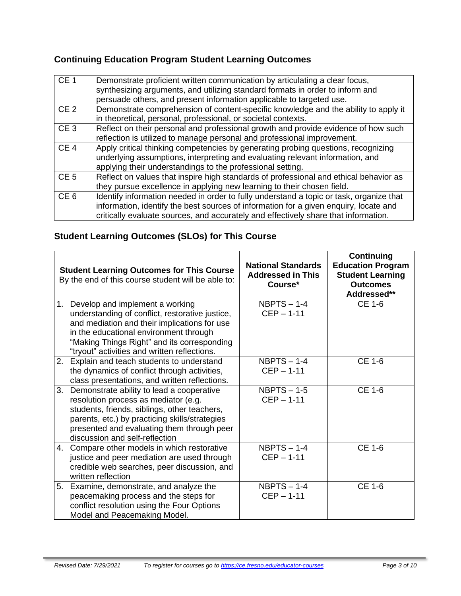## **Continuing Education Program Student Learning Outcomes**

| CE <sub>1</sub> | Demonstrate proficient written communication by articulating a clear focus,<br>synthesizing arguments, and utilizing standard formats in order to inform and<br>persuade others, and present information applicable to targeted use.                                    |
|-----------------|-------------------------------------------------------------------------------------------------------------------------------------------------------------------------------------------------------------------------------------------------------------------------|
| CE <sub>2</sub> | Demonstrate comprehension of content-specific knowledge and the ability to apply it<br>in theoretical, personal, professional, or societal contexts.                                                                                                                    |
| CE <sub>3</sub> | Reflect on their personal and professional growth and provide evidence of how such<br>reflection is utilized to manage personal and professional improvement.                                                                                                           |
| CE <sub>4</sub> | Apply critical thinking competencies by generating probing questions, recognizing<br>underlying assumptions, interpreting and evaluating relevant information, and<br>applying their understandings to the professional setting.                                        |
| CE <sub>5</sub> | Reflect on values that inspire high standards of professional and ethical behavior as<br>they pursue excellence in applying new learning to their chosen field.                                                                                                         |
| CE <sub>6</sub> | Identify information needed in order to fully understand a topic or task, organize that<br>information, identify the best sources of information for a given enquiry, locate and<br>critically evaluate sources, and accurately and effectively share that information. |

## **Student Learning Outcomes (SLOs) for This Course**

| <b>Student Learning Outcomes for This Course</b><br>By the end of this course student will be able to: |                                                                                                                                                                                                                                                                                | <b>National Standards</b><br><b>Addressed in This</b><br>Course* | Continuing<br><b>Education Program</b><br><b>Student Learning</b><br><b>Outcomes</b><br>Addressed** |
|--------------------------------------------------------------------------------------------------------|--------------------------------------------------------------------------------------------------------------------------------------------------------------------------------------------------------------------------------------------------------------------------------|------------------------------------------------------------------|-----------------------------------------------------------------------------------------------------|
|                                                                                                        | 1. Develop and implement a working<br>understanding of conflict, restorative justice,<br>and mediation and their implications for use<br>in the educational environment through<br>"Making Things Right" and its corresponding<br>"tryout" activities and written reflections. | $NBPTS - 1-4$<br>$CEP - 1-11$                                    | CE 1-6                                                                                              |
|                                                                                                        | 2. Explain and teach students to understand<br>the dynamics of conflict through activities,<br>class presentations, and written reflections.                                                                                                                                   | $NBPTS - 1-4$<br>$CEP - 1-11$                                    | CE 1-6                                                                                              |
| 3.                                                                                                     | Demonstrate ability to lead a cooperative<br>resolution process as mediator (e.g.<br>students, friends, siblings, other teachers,<br>parents, etc.) by practicing skills/strategies<br>presented and evaluating them through peer<br>discussion and self-reflection            | $NBPTS - 1-5$<br>$CEP - 1-11$                                    | CE 1-6                                                                                              |
| 4.                                                                                                     | Compare other models in which restorative<br>justice and peer mediation are used through<br>credible web searches, peer discussion, and<br>written reflection                                                                                                                  | $NBPTS - 1-4$<br>$CEP - 1-11$                                    | CE 1-6                                                                                              |
|                                                                                                        | 5. Examine, demonstrate, and analyze the<br>peacemaking process and the steps for<br>conflict resolution using the Four Options<br>Model and Peacemaking Model.                                                                                                                | $NBPTS - 1-4$<br>$CEP - 1-11$                                    | CE 1-6                                                                                              |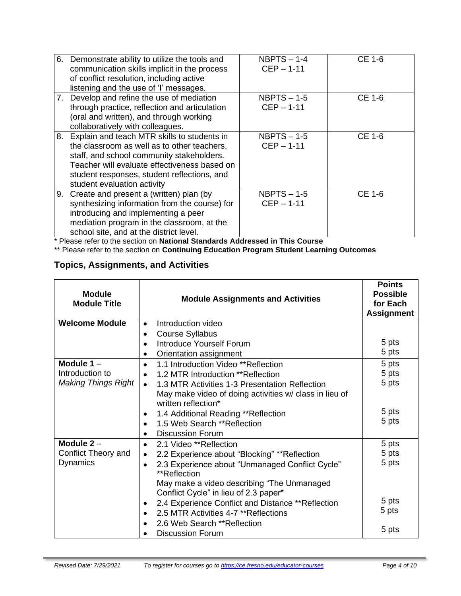| 6. | Demonstrate ability to utilize the tools and<br>communication skills implicit in the process<br>of conflict resolution, including active<br>listening and the use of 'l' messages.                                                                                       | $NBPTS - 1-4$<br>$CEP - 1-11$ | CE 1-6 |
|----|--------------------------------------------------------------------------------------------------------------------------------------------------------------------------------------------------------------------------------------------------------------------------|-------------------------------|--------|
|    | 7. Develop and refine the use of mediation<br>through practice, reflection and articulation<br>(oral and written), and through working<br>collaboratively with colleagues.                                                                                               | $NBPTS - 1-5$<br>$CEP - 1-11$ | CE 1-6 |
|    | 8. Explain and teach MTR skills to students in<br>the classroom as well as to other teachers,<br>staff, and school community stakeholders.<br>Teacher will evaluate effectiveness based on<br>student responses, student reflections, and<br>student evaluation activity | $NBPTS - 1-5$<br>$CEP - 1-11$ | CE 1-6 |
| 9. | Create and present a (written) plan (by<br>synthesizing information from the course) for<br>introducing and implementing a peer<br>mediation program in the classroom, at the<br>school site, and at the district level.                                                 | $NBPTS - 1-5$<br>$CEP - 1-11$ | CE 1-6 |

\* Please refer to the section on **National Standards Addressed in This Course**

\*\* Please refer to the section on **Continuing Education Program Student Learning Outcomes**

## **Topics, Assignments, and Activities**

| <b>Module</b><br><b>Module Title</b> | <b>Module Assignments and Activities</b>                                             | <b>Points</b><br><b>Possible</b><br>for Each<br><b>Assignment</b> |
|--------------------------------------|--------------------------------------------------------------------------------------|-------------------------------------------------------------------|
| <b>Welcome Module</b>                | Introduction video<br>$\bullet$                                                      |                                                                   |
|                                      | <b>Course Syllabus</b>                                                               |                                                                   |
|                                      | Introduce Yourself Forum                                                             | 5 pts                                                             |
|                                      | Orientation assignment                                                               | 5 pts                                                             |
| Module $1 -$                         | 1.1 Introduction Video **Reflection<br>$\bullet$                                     | 5 pts                                                             |
| Introduction to                      | 1.2 MTR Introduction **Reflection                                                    | 5 pts                                                             |
| <b>Making Things Right</b>           | 1.3 MTR Activities 1-3 Presentation Reflection<br>$\bullet$                          | 5 pts                                                             |
|                                      | May make video of doing activities w/ class in lieu of<br>written reflection*        |                                                                   |
|                                      | 1.4 Additional Reading ** Reflection                                                 | 5 pts                                                             |
|                                      | 1.5 Web Search ** Reflection                                                         | 5 pts                                                             |
|                                      | <b>Discussion Forum</b>                                                              |                                                                   |
| Module $2 -$                         | 2.1 Video **Reflection<br>$\bullet$                                                  | 5 pts                                                             |
| Conflict Theory and                  | 2.2 Experience about "Blocking" ** Reflection                                        | 5 pts                                                             |
| <b>Dynamics</b>                      | 2.3 Experience about "Unmanaged Conflict Cycle"<br>**Reflection                      | 5 pts                                                             |
|                                      | May make a video describing "The Unmanaged"<br>Conflict Cycle" in lieu of 2.3 paper* |                                                                   |
|                                      | 2.4 Experience Conflict and Distance ** Reflection                                   | 5 pts                                                             |
|                                      | 2.5 MTR Activities 4-7 ** Reflections                                                | 5 pts                                                             |
|                                      | 2.6 Web Search ** Reflection                                                         |                                                                   |
|                                      | <b>Discussion Forum</b>                                                              | 5 pts                                                             |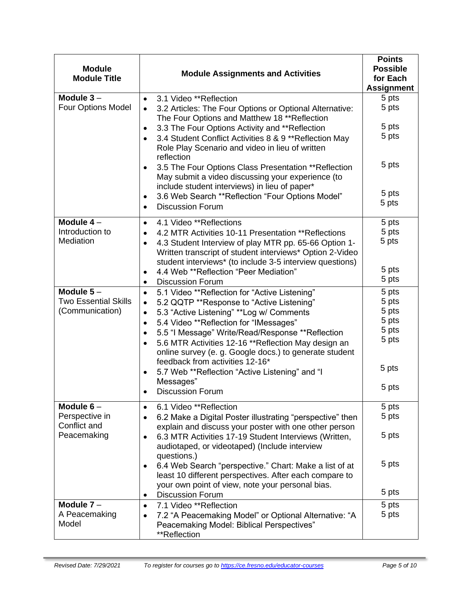| <b>Module</b>                  |                                                                                                                                                                                            |                               |
|--------------------------------|--------------------------------------------------------------------------------------------------------------------------------------------------------------------------------------------|-------------------------------|
| <b>Module Title</b>            | <b>Module Assignments and Activities</b>                                                                                                                                                   | for Each<br><b>Assignment</b> |
| Module $3-$                    | 3.1 Video **Reflection<br>$\bullet$                                                                                                                                                        | 5 pts                         |
| <b>Four Options Model</b>      | 3.2 Articles: The Four Options or Optional Alternative:<br>$\bullet$<br>The Four Options and Matthew 18 ** Reflection                                                                      | 5 pts                         |
|                                | 3.3 The Four Options Activity and **Reflection<br>$\bullet$                                                                                                                                | 5 pts                         |
|                                | 3.4 Student Conflict Activities 8 & 9 ** Reflection May<br>Role Play Scenario and video in lieu of written<br>reflection                                                                   | 5 pts                         |
|                                | 3.5 The Four Options Class Presentation ** Reflection<br>May submit a video discussing your experience (to<br>include student interviews) in lieu of paper*                                | 5 pts                         |
|                                | 3.6 Web Search ** Reflection "Four Options Model"                                                                                                                                          | 5 pts                         |
|                                | <b>Discussion Forum</b><br>$\bullet$                                                                                                                                                       | 5 pts                         |
| Module 4-                      | 4.1 Video **Reflections<br>$\bullet$                                                                                                                                                       | 5 pts                         |
| Introduction to                | 4.2 MTR Activities 10-11 Presentation **Reflections<br>$\bullet$                                                                                                                           | 5 pts                         |
| Mediation                      | 4.3 Student Interview of play MTR pp. 65-66 Option 1-<br>$\bullet$<br>Written transcript of student interviews* Option 2-Video<br>student interviews* (to include 3-5 interview questions) | 5 pts                         |
|                                | 4.4 Web ** Reflection "Peer Mediation"<br>$\bullet$                                                                                                                                        | 5 pts                         |
|                                | <b>Discussion Forum</b><br>$\bullet$                                                                                                                                                       | 5 pts                         |
| Module $5-$                    | 5.1 Video ** Reflection for "Active Listening"<br>$\bullet$                                                                                                                                | 5 pts                         |
| <b>Two Essential Skills</b>    | 5.2 QQTP **Response to "Active Listening"<br>$\bullet$                                                                                                                                     | 5 pts                         |
| (Communication)                | 5.3 "Active Listening" ** Log w/ Comments<br>$\bullet$                                                                                                                                     | 5 pts                         |
|                                | 5.4 Video **Reflection for "IMessages"<br>$\bullet$                                                                                                                                        | 5 pts                         |
|                                | 5.5 "I Message" Write/Read/Response **Reflection<br>$\bullet$                                                                                                                              | 5 pts                         |
|                                | 5.6 MTR Activities 12-16 ** Reflection May design an                                                                                                                                       | 5 pts                         |
|                                | online survey (e. g. Google docs.) to generate student<br>feedback from activities 12-16*                                                                                                  |                               |
|                                | 5.7 Web **Reflection "Active Listening" and "I                                                                                                                                             | 5 pts                         |
|                                | Messages"                                                                                                                                                                                  | 5 pts                         |
|                                | <b>Discussion Forum</b>                                                                                                                                                                    |                               |
| Module $6-$                    | 6.1 Video **Reflection<br>$\bullet$                                                                                                                                                        | 5 pts                         |
| Perspective in<br>Conflict and | 6.2 Make a Digital Poster illustrating "perspective" then<br>$\bullet$                                                                                                                     | 5 pts                         |
| Peacemaking                    | explain and discuss your poster with one other person                                                                                                                                      |                               |
|                                | 6.3 MTR Activities 17-19 Student Interviews (Written,<br>٠<br>audiotaped, or videotaped) (Include interview                                                                                | 5 pts                         |
|                                | questions.)                                                                                                                                                                                |                               |
|                                | 6.4 Web Search "perspective." Chart: Make a list of at<br>$\bullet$                                                                                                                        | 5 pts                         |
|                                | least 10 different perspectives. After each compare to                                                                                                                                     |                               |
|                                | your own point of view, note your personal bias.                                                                                                                                           | 5 pts                         |
|                                | <b>Discussion Forum</b><br>٠                                                                                                                                                               |                               |
| Module $7 -$                   | 7.1 Video **Reflection<br>$\bullet$                                                                                                                                                        | 5 pts                         |
| A Peacemaking<br>Model         | 7.2 "A Peacemaking Model" or Optional Alternative: "A<br>$\bullet$                                                                                                                         | 5 pts                         |
|                                | Peacemaking Model: Biblical Perspectives"<br>**Reflection                                                                                                                                  |                               |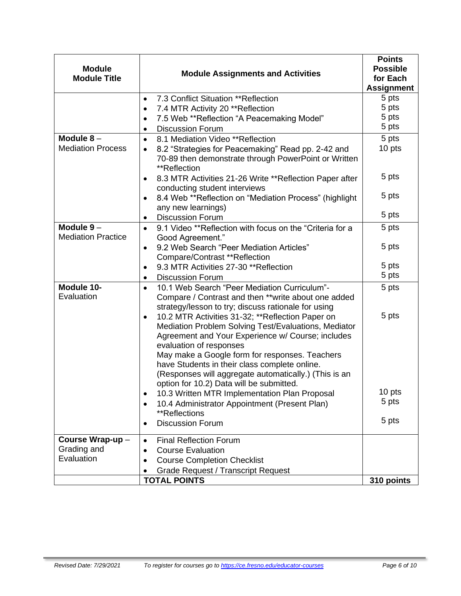| <b>Module</b><br><b>Module Title</b>     | <b>Module Assignments and Activities</b>                                                                                                                                                                                                                                                                                                                                                                      | <b>Points</b><br><b>Possible</b><br>for Each<br><b>Assignment</b> |
|------------------------------------------|---------------------------------------------------------------------------------------------------------------------------------------------------------------------------------------------------------------------------------------------------------------------------------------------------------------------------------------------------------------------------------------------------------------|-------------------------------------------------------------------|
|                                          | 7.3 Conflict Situation **Reflection<br>$\bullet$                                                                                                                                                                                                                                                                                                                                                              | 5 pts                                                             |
|                                          | 7.4 MTR Activity 20 ** Reflection<br>$\bullet$                                                                                                                                                                                                                                                                                                                                                                | 5 pts                                                             |
|                                          | 7.5 Web ** Reflection "A Peacemaking Model"<br>$\bullet$                                                                                                                                                                                                                                                                                                                                                      | 5 pts<br>5 pts                                                    |
| Module $8-$                              | <b>Discussion Forum</b><br>٠<br>8.1 Mediation Video **Reflection                                                                                                                                                                                                                                                                                                                                              | 5 pts                                                             |
| <b>Mediation Process</b>                 | $\bullet$<br>8.2 "Strategies for Peacemaking" Read pp. 2-42 and                                                                                                                                                                                                                                                                                                                                               | 10 pts                                                            |
|                                          | $\bullet$<br>70-89 then demonstrate through PowerPoint or Written<br>**Reflection                                                                                                                                                                                                                                                                                                                             |                                                                   |
|                                          | 8.3 MTR Activities 21-26 Write ** Reflection Paper after<br>conducting student interviews                                                                                                                                                                                                                                                                                                                     | 5 pts                                                             |
|                                          | 8.4 Web ** Reflection on "Mediation Process" (highlight<br>$\bullet$<br>any new learnings)                                                                                                                                                                                                                                                                                                                    | 5 pts                                                             |
|                                          | <b>Discussion Forum</b><br>٠                                                                                                                                                                                                                                                                                                                                                                                  | 5 pts                                                             |
| Module $9-$<br><b>Mediation Practice</b> | 9.1 Video **Reflection with focus on the "Criteria for a<br>$\bullet$<br>Good Agreement."                                                                                                                                                                                                                                                                                                                     | 5 pts                                                             |
|                                          | 9.2 Web Search "Peer Mediation Articles"<br>$\bullet$<br>Compare/Contrast **Reflection                                                                                                                                                                                                                                                                                                                        | 5 pts                                                             |
|                                          | 9.3 MTR Activities 27-30 **Reflection<br>$\bullet$                                                                                                                                                                                                                                                                                                                                                            | 5 pts                                                             |
|                                          | <b>Discussion Forum</b>                                                                                                                                                                                                                                                                                                                                                                                       | 5 pts                                                             |
| Module 10-<br>Evaluation                 | 10.1 Web Search "Peer Mediation Curriculum"-<br>$\bullet$<br>Compare / Contrast and then **write about one added<br>strategy/lesson to try; discuss rationale for using                                                                                                                                                                                                                                       | 5 pts                                                             |
|                                          | 10.2 MTR Activities 31-32; **Reflection Paper on<br>$\bullet$<br>Mediation Problem Solving Test/Evaluations, Mediator<br>Agreement and Your Experience w/ Course; includes<br>evaluation of responses<br>May make a Google form for responses. Teachers<br>have Students in their class complete online.<br>(Responses will aggregate automatically.) (This is an<br>option for 10.2) Data will be submitted. | 5 pts                                                             |
|                                          | 10.3 Written MTR Implementation Plan Proposal<br>٠                                                                                                                                                                                                                                                                                                                                                            | 10 pts                                                            |
|                                          | 10.4 Administrator Appointment (Present Plan)<br>$\bullet$                                                                                                                                                                                                                                                                                                                                                    | 5 pts                                                             |
|                                          | **Reflections<br><b>Discussion Forum</b><br>$\bullet$                                                                                                                                                                                                                                                                                                                                                         | 5 pts                                                             |
| Course Wrap-up-                          | <b>Final Reflection Forum</b><br>$\bullet$                                                                                                                                                                                                                                                                                                                                                                    |                                                                   |
| Grading and                              | <b>Course Evaluation</b><br>$\bullet$                                                                                                                                                                                                                                                                                                                                                                         |                                                                   |
| Evaluation                               | <b>Course Completion Checklist</b>                                                                                                                                                                                                                                                                                                                                                                            |                                                                   |
|                                          | <b>Grade Request / Transcript Request</b>                                                                                                                                                                                                                                                                                                                                                                     |                                                                   |
|                                          | <b>TOTAL POINTS</b>                                                                                                                                                                                                                                                                                                                                                                                           | 310 points                                                        |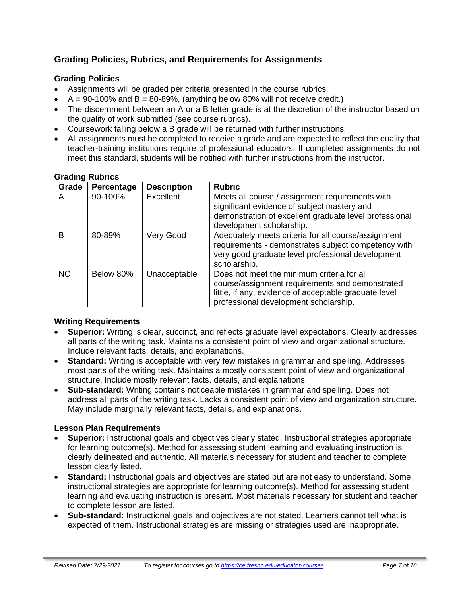## **Grading Policies, Rubrics, and Requirements for Assignments**

## **Grading Policies**

- Assignments will be graded per criteria presented in the course rubrics.
- $A = 90-100\%$  and  $B = 80-89\%$ , (anything below 80% will not receive credit.)
- The discernment between an A or a B letter grade is at the discretion of the instructor based on the quality of work submitted (see course rubrics).
- Coursework falling below a B grade will be returned with further instructions.
- All assignments must be completed to receive a grade and are expected to reflect the quality that teacher-training institutions require of professional educators. If completed assignments do not meet this standard, students will be notified with further instructions from the instructor.

| Grade     | Percentage | <b>Description</b> | <b>Rubric</b>                                                                                                                                                                                   |
|-----------|------------|--------------------|-------------------------------------------------------------------------------------------------------------------------------------------------------------------------------------------------|
| A         | 90-100%    | Excellent          | Meets all course / assignment requirements with<br>significant evidence of subject mastery and<br>demonstration of excellent graduate level professional<br>development scholarship.            |
| B         | 80-89%     | Very Good          | Adequately meets criteria for all course/assignment<br>requirements - demonstrates subject competency with<br>very good graduate level professional development<br>scholarship.                 |
| <b>NC</b> | Below 80%  | Unacceptable       | Does not meet the minimum criteria for all<br>course/assignment requirements and demonstrated<br>little, if any, evidence of acceptable graduate level<br>professional development scholarship. |

#### **Grading Rubrics**

## **Writing Requirements**

- **Superior:** Writing is clear, succinct, and reflects graduate level expectations. Clearly addresses all parts of the writing task. Maintains a consistent point of view and organizational structure. Include relevant facts, details, and explanations.
- **Standard:** Writing is acceptable with very few mistakes in grammar and spelling. Addresses most parts of the writing task. Maintains a mostly consistent point of view and organizational structure. Include mostly relevant facts, details, and explanations.
- **Sub-standard:** Writing contains noticeable mistakes in grammar and spelling. Does not address all parts of the writing task. Lacks a consistent point of view and organization structure. May include marginally relevant facts, details, and explanations.

## **Lesson Plan Requirements**

- **Superior:** Instructional goals and objectives clearly stated. Instructional strategies appropriate for learning outcome(s). Method for assessing student learning and evaluating instruction is clearly delineated and authentic. All materials necessary for student and teacher to complete lesson clearly listed.
- **Standard:** Instructional goals and objectives are stated but are not easy to understand. Some instructional strategies are appropriate for learning outcome(s). Method for assessing student learning and evaluating instruction is present. Most materials necessary for student and teacher to complete lesson are listed.
- **Sub-standard:** Instructional goals and objectives are not stated. Learners cannot tell what is expected of them. Instructional strategies are missing or strategies used are inappropriate.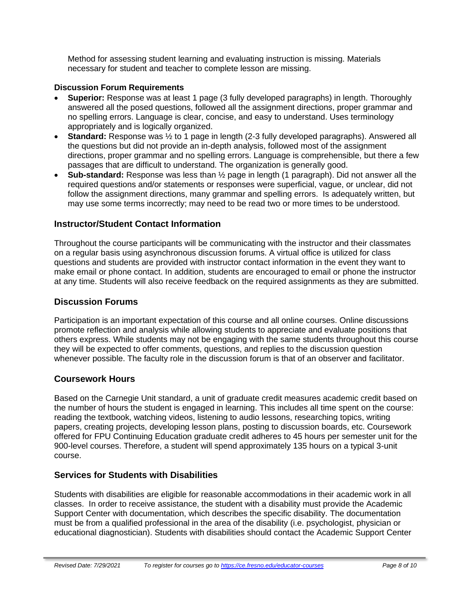Method for assessing student learning and evaluating instruction is missing. Materials necessary for student and teacher to complete lesson are missing.

#### **Discussion Forum Requirements**

- **Superior:** Response was at least 1 page (3 fully developed paragraphs) in length. Thoroughly answered all the posed questions, followed all the assignment directions, proper grammar and no spelling errors. Language is clear, concise, and easy to understand. Uses terminology appropriately and is logically organized.
- **Standard:** Response was  $\frac{1}{2}$  to 1 page in length (2-3 fully developed paragraphs). Answered all the questions but did not provide an in-depth analysis, followed most of the assignment directions, proper grammar and no spelling errors. Language is comprehensible, but there a few passages that are difficult to understand. The organization is generally good.
- **Sub-standard:** Response was less than ½ page in length (1 paragraph). Did not answer all the required questions and/or statements or responses were superficial, vague, or unclear, did not follow the assignment directions, many grammar and spelling errors. Is adequately written, but may use some terms incorrectly; may need to be read two or more times to be understood.

## **Instructor/Student Contact Information**

Throughout the course participants will be communicating with the instructor and their classmates on a regular basis using asynchronous discussion forums. A virtual office is utilized for class questions and students are provided with instructor contact information in the event they want to make email or phone contact. In addition, students are encouraged to email or phone the instructor at any time. Students will also receive feedback on the required assignments as they are submitted.

## **Discussion Forums**

Participation is an important expectation of this course and all online courses. Online discussions promote reflection and analysis while allowing students to appreciate and evaluate positions that others express. While students may not be engaging with the same students throughout this course they will be expected to offer comments, questions, and replies to the discussion question whenever possible. The faculty role in the discussion forum is that of an observer and facilitator.

## **Coursework Hours**

Based on the Carnegie Unit standard, a unit of graduate credit measures academic credit based on the number of hours the student is engaged in learning. This includes all time spent on the course: reading the textbook, watching videos, listening to audio lessons, researching topics, writing papers, creating projects, developing lesson plans, posting to discussion boards, etc. Coursework offered for FPU Continuing Education graduate credit adheres to 45 hours per semester unit for the 900-level courses. Therefore, a student will spend approximately 135 hours on a typical 3-unit course.

## **Services for Students with Disabilities**

Students with disabilities are eligible for reasonable accommodations in their academic work in all classes. In order to receive assistance, the student with a disability must provide the Academic Support Center with documentation, which describes the specific disability. The documentation must be from a qualified professional in the area of the disability (i.e. psychologist, physician or educational diagnostician). Students with disabilities should contact the Academic Support Center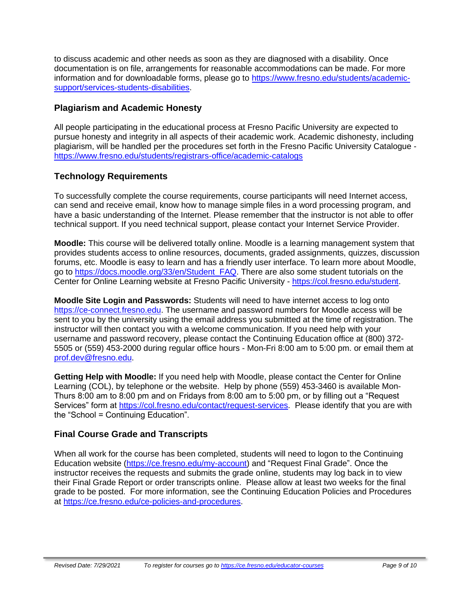to discuss academic and other needs as soon as they are diagnosed with a disability. Once documentation is on file, arrangements for reasonable accommodations can be made. For more information and for downloadable forms, please go to [https://www.fresno.edu/students/academic](https://www.fresno.edu/students/academic-support/services-students-disabilities)[support/services-students-disabilities.](https://www.fresno.edu/students/academic-support/services-students-disabilities)

## **Plagiarism and Academic Honesty**

All people participating in the educational process at Fresno Pacific University are expected to pursue honesty and integrity in all aspects of their academic work. Academic dishonesty, including plagiarism, will be handled per the procedures set forth in the Fresno Pacific University Catalogue <https://www.fresno.edu/students/registrars-office/academic-catalogs>

## **Technology Requirements**

To successfully complete the course requirements, course participants will need Internet access, can send and receive email, know how to manage simple files in a word processing program, and have a basic understanding of the Internet. Please remember that the instructor is not able to offer technical support. If you need technical support, please contact your Internet Service Provider.

**Moodle:** This course will be delivered totally online. Moodle is a learning management system that provides students access to online resources, documents, graded assignments, quizzes, discussion forums, etc. Moodle is easy to learn and has a friendly user interface. To learn more about Moodle, go to [https://docs.moodle.org/33/en/Student\\_FAQ.](https://docs.moodle.org/33/en/Student_FAQ) There are also some student tutorials on the Center for Online Learning website at Fresno Pacific University - [https://col.fresno.edu/student.](https://col.fresno.edu/student)

**Moodle Site Login and Passwords:** Students will need to have internet access to log onto [https://ce-connect.fresno.edu.](https://ce-connect.fresno.edu/) The username and password numbers for Moodle access will be sent to you by the university using the email address you submitted at the time of registration. The instructor will then contact you with a welcome communication. If you need help with your username and password recovery, please contact the Continuing Education office at (800) 372- 5505 or (559) 453-2000 during regular office hours - Mon-Fri 8:00 am to 5:00 pm. or email them at [prof.dev@fresno.edu.](mailto:prof.dev@fresno.edu)

**Getting Help with Moodle:** If you need help with Moodle, please contact the Center for Online Learning (COL), by telephone or the website. Help by phone (559) 453-3460 is available Mon-Thurs 8:00 am to 8:00 pm and on Fridays from 8:00 am to 5:00 pm, or by filling out a "Request Services" form at [https://col.fresno.edu/contact/request-services.](https://col.fresno.edu/contact/request-services) Please identify that you are with the "School = Continuing Education".

## **Final Course Grade and Transcripts**

When all work for the course has been completed, students will need to logon to the Continuing Education website [\(https://ce.fresno.edu/my-account\)](https://ce.fresno.edu/my-account) and "Request Final Grade". Once the instructor receives the requests and submits the grade online, students may log back in to view their Final Grade Report or order transcripts online. Please allow at least two weeks for the final grade to be posted. For more information, see the Continuing Education Policies and Procedures at [https://ce.fresno.edu/ce-policies-and-procedures.](https://ce.fresno.edu/ce-policies-and-procedures)